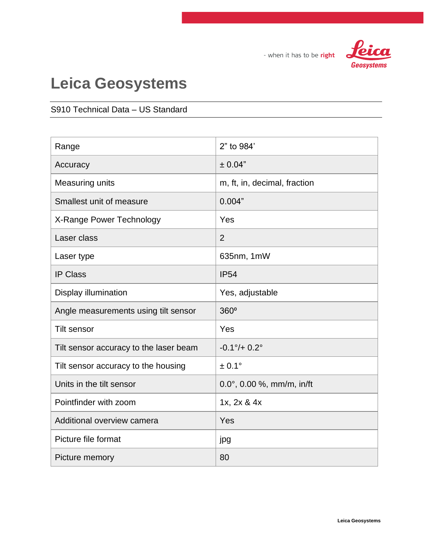

- when it has to be right

# **Leica Geosystems**

#### S910 Technical Data – US Standard

| Range                                  | 2" to 984'                          |
|----------------------------------------|-------------------------------------|
| Accuracy                               | ± 0.04"                             |
| <b>Measuring units</b>                 | m, ft, in, decimal, fraction        |
| Smallest unit of measure               | 0.004"                              |
| X-Range Power Technology               | Yes                                 |
| Laser class                            | $\overline{2}$                      |
| Laser type                             | 635nm, 1mW                          |
| <b>IP Class</b>                        | <b>IP54</b>                         |
| Display illumination                   | Yes, adjustable                     |
| Angle measurements using tilt sensor   | 360°                                |
| <b>Tilt sensor</b>                     | Yes                                 |
| Tilt sensor accuracy to the laser beam | $-0.1\degree + 0.2\degree$          |
| Tilt sensor accuracy to the housing    | $± 0.1^{\circ}$                     |
| Units in the tilt sensor               | $0.0^{\circ}$ , 0.00 %, mm/m, in/ft |
| Pointfinder with zoom                  | 1x, 2x & 4x                         |
| Additional overview camera             | Yes                                 |
| Picture file format                    | jpg                                 |
| Picture memory                         | 80                                  |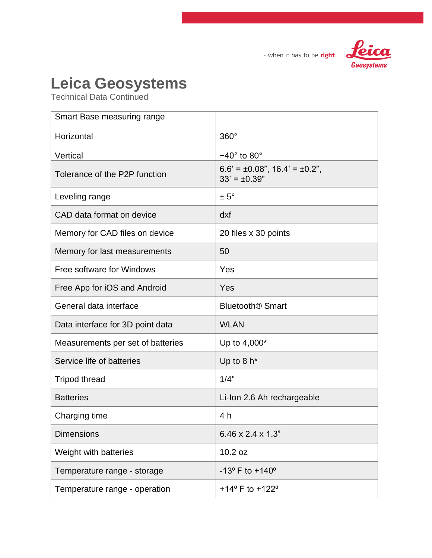

- when it has to be right

# **Leica Geosystems**

| Smart Base measuring range        |                                                                |
|-----------------------------------|----------------------------------------------------------------|
| Horizontal                        | $360^\circ$                                                    |
| Vertical                          | $-40^\circ$ to $80^\circ$                                      |
| Tolerance of the P2P function     | $6.6' = \pm 0.08$ ", $16.4' = \pm 0.2$ ",<br>$33' = \pm 0.39"$ |
| Leveling range                    | $± 5^{\circ}$                                                  |
| CAD data format on device         | dxf                                                            |
| Memory for CAD files on device    | 20 files x 30 points                                           |
| Memory for last measurements      | 50                                                             |
| Free software for Windows         | Yes                                                            |
| Free App for iOS and Android      | Yes                                                            |
| General data interface            | <b>Bluetooth<sup>®</sup> Smart</b>                             |
| Data interface for 3D point data  | <b>WLAN</b>                                                    |
| Measurements per set of batteries | Up to $4,000*$                                                 |
| Service life of batteries         | Up to $8 h*$                                                   |
| <b>Tripod thread</b>              | 1/4"                                                           |
| <b>Batteries</b>                  | Li-Ion 2.6 Ah rechargeable                                     |
| Charging time                     | 4 h                                                            |
| <b>Dimensions</b>                 | $6.46 \times 2.4 \times 1.3$ "                                 |
| Weight with batteries             | 10.2 oz                                                        |
| Temperature range - storage       | $-13^{\circ}$ F to $+140^{\circ}$                              |
| Temperature range - operation     | +14 $\degree$ F to +122 $\degree$                              |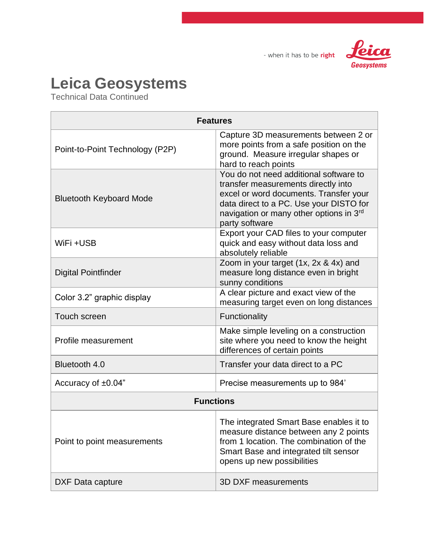

| <b>Features</b>                 |                                                                                                                                                                                                                                 |
|---------------------------------|---------------------------------------------------------------------------------------------------------------------------------------------------------------------------------------------------------------------------------|
| Point-to-Point Technology (P2P) | Capture 3D measurements between 2 or<br>more points from a safe position on the<br>ground. Measure irregular shapes or<br>hard to reach points                                                                                  |
| <b>Bluetooth Keyboard Mode</b>  | You do not need additional software to<br>transfer measurements directly into<br>excel or word documents. Transfer your<br>data direct to a PC. Use your DISTO for<br>navigation or many other options in 3rd<br>party software |
| WiFi+USB                        | Export your CAD files to your computer<br>quick and easy without data loss and<br>absolutely reliable                                                                                                                           |
| <b>Digital Pointfinder</b>      | Zoom in your target (1x, 2x & 4x) and<br>measure long distance even in bright<br>sunny conditions                                                                                                                               |
| Color 3.2" graphic display      | A clear picture and exact view of the<br>measuring target even on long distances                                                                                                                                                |
| <b>Touch screen</b>             | Functionality                                                                                                                                                                                                                   |
| Profile measurement             | Make simple leveling on a construction<br>site where you need to know the height<br>differences of certain points                                                                                                               |
| Bluetooth 4.0                   | Transfer your data direct to a PC                                                                                                                                                                                               |
| Accuracy of $\pm 0.04$ "        | Precise measurements up to 984'                                                                                                                                                                                                 |
| <b>Functions</b>                |                                                                                                                                                                                                                                 |
| Point to point measurements     | The integrated Smart Base enables it to<br>measure distance between any 2 points<br>from 1 location. The combination of the<br>Smart Base and integrated tilt sensor<br>opens up new possibilities                              |
| DXF Data capture                | 3D DXF measurements                                                                                                                                                                                                             |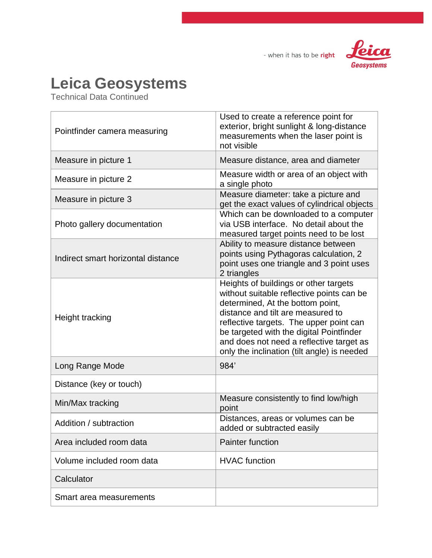



| Pointfinder camera measuring       | Used to create a reference point for<br>exterior, bright sunlight & long-distance<br>measurements when the laser point is<br>not visible                                                                                                                                                                                                      |
|------------------------------------|-----------------------------------------------------------------------------------------------------------------------------------------------------------------------------------------------------------------------------------------------------------------------------------------------------------------------------------------------|
| Measure in picture 1               | Measure distance, area and diameter                                                                                                                                                                                                                                                                                                           |
| Measure in picture 2               | Measure width or area of an object with<br>a single photo                                                                                                                                                                                                                                                                                     |
| Measure in picture 3               | Measure diameter: take a picture and<br>get the exact values of cylindrical objects                                                                                                                                                                                                                                                           |
| Photo gallery documentation        | Which can be downloaded to a computer<br>via USB interface. No detail about the<br>measured target points need to be lost                                                                                                                                                                                                                     |
| Indirect smart horizontal distance | Ability to measure distance between<br>points using Pythagoras calculation, 2<br>point uses one triangle and 3 point uses<br>2 triangles                                                                                                                                                                                                      |
| Height tracking                    | Heights of buildings or other targets<br>without suitable reflective points can be<br>determined, At the bottom point,<br>distance and tilt are measured to<br>reflective targets. The upper point can<br>be targeted with the digital Pointfinder<br>and does not need a reflective target as<br>only the inclination (tilt angle) is needed |
| Long Range Mode                    | 984'                                                                                                                                                                                                                                                                                                                                          |
| Distance (key or touch)            |                                                                                                                                                                                                                                                                                                                                               |
| Min/Max tracking                   | Measure consistently to find low/high<br>point                                                                                                                                                                                                                                                                                                |
| Addition / subtraction             | Distances, areas or volumes can be<br>added or subtracted easily                                                                                                                                                                                                                                                                              |
| Area included room data            | <b>Painter function</b>                                                                                                                                                                                                                                                                                                                       |
| Volume included room data          | <b>HVAC</b> function                                                                                                                                                                                                                                                                                                                          |
| Calculator                         |                                                                                                                                                                                                                                                                                                                                               |
| Smart area measurements            |                                                                                                                                                                                                                                                                                                                                               |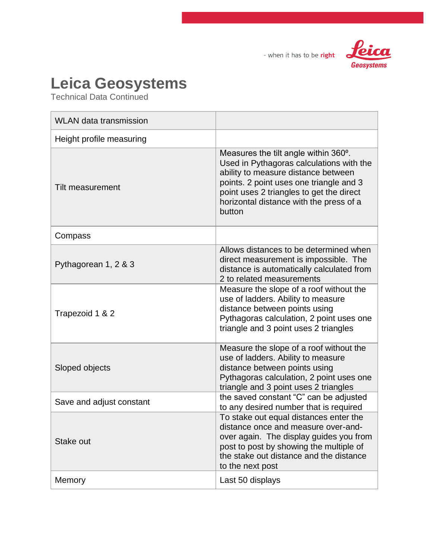

- when it has to be right

# **Leica Geosystems**

| <b>WLAN</b> data transmission |                                                                                                                                                                                                                                                                     |
|-------------------------------|---------------------------------------------------------------------------------------------------------------------------------------------------------------------------------------------------------------------------------------------------------------------|
| Height profile measuring      |                                                                                                                                                                                                                                                                     |
| <b>Tilt measurement</b>       | Measures the tilt angle within 360°.<br>Used in Pythagoras calculations with the<br>ability to measure distance between<br>points. 2 point uses one triangle and 3<br>point uses 2 triangles to get the direct<br>horizontal distance with the press of a<br>button |
| Compass                       |                                                                                                                                                                                                                                                                     |
| Pythagorean 1, 2 & 3          | Allows distances to be determined when<br>direct measurement is impossible. The<br>distance is automatically calculated from<br>2 to related measurements                                                                                                           |
| Trapezoid 1 & 2               | Measure the slope of a roof without the<br>use of ladders. Ability to measure<br>distance between points using<br>Pythagoras calculation, 2 point uses one<br>triangle and 3 point uses 2 triangles                                                                 |
| Sloped objects                | Measure the slope of a roof without the<br>use of ladders. Ability to measure<br>distance between points using<br>Pythagoras calculation, 2 point uses one<br>triangle and 3 point uses 2 triangles                                                                 |
| Save and adjust constant      | the saved constant "C" can be adjusted<br>to any desired number that is required                                                                                                                                                                                    |
| Stake out                     | To stake out equal distances enter the<br>distance once and measure over-and-<br>over again. The display guides you from<br>post to post by showing the multiple of<br>the stake out distance and the distance<br>to the next post                                  |
| Memory                        | Last 50 displays                                                                                                                                                                                                                                                    |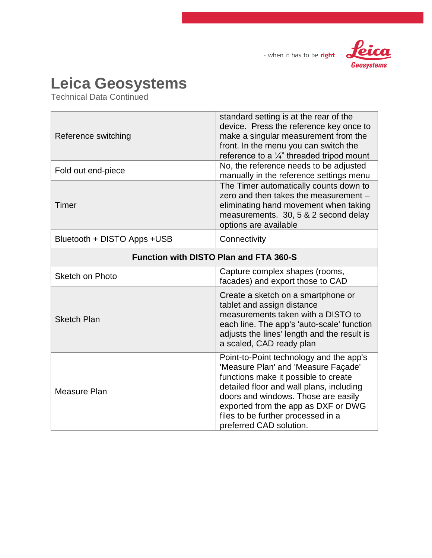



| Reference switching                           | standard setting is at the rear of the<br>device. Press the reference key once to<br>make a singular measurement from the<br>front. In the menu you can switch the<br>reference to a $\frac{1}{4}$ " threaded tripod mount                                                                                        |
|-----------------------------------------------|-------------------------------------------------------------------------------------------------------------------------------------------------------------------------------------------------------------------------------------------------------------------------------------------------------------------|
| Fold out end-piece                            | No, the reference needs to be adjusted<br>manually in the reference settings menu                                                                                                                                                                                                                                 |
| Timer                                         | The Timer automatically counts down to<br>zero and then takes the measurement -<br>eliminating hand movement when taking<br>measurements. 30, 5 & 2 second delay<br>options are available                                                                                                                         |
| Bluetooth + DISTO Apps + USB                  | Connectivity                                                                                                                                                                                                                                                                                                      |
| <b>Function with DISTO Plan and FTA 360-S</b> |                                                                                                                                                                                                                                                                                                                   |
| Sketch on Photo                               | Capture complex shapes (rooms,<br>facades) and export those to CAD                                                                                                                                                                                                                                                |
| <b>Sketch Plan</b>                            | Create a sketch on a smartphone or<br>tablet and assign distance<br>measurements taken with a DISTO to<br>each line. The app's 'auto-scale' function<br>adjusts the lines' length and the result is<br>a scaled, CAD ready plan                                                                                   |
| Measure Plan                                  | Point-to-Point technology and the app's<br>'Measure Plan' and 'Measure Façade'<br>functions make it possible to create<br>detailed floor and wall plans, including<br>doors and windows. Those are easily<br>exported from the app as DXF or DWG<br>files to be further processed in a<br>preferred CAD solution. |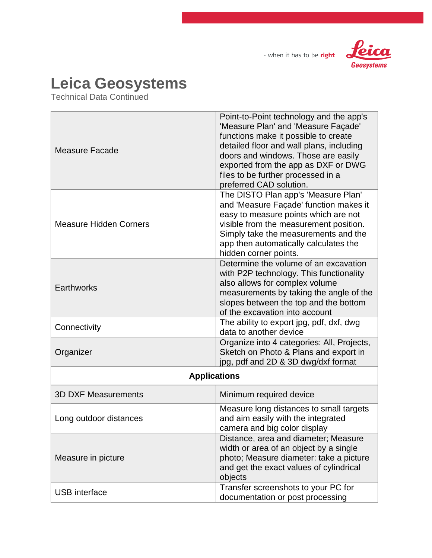

width or area of an object by a single photo; Measure diameter: take a picture and get the exact values of cylindrical

documentation or post processing

objects

USB interface Transfer screenshots to your PC for



# **Leica Geosystems**

Technical Data Continued

Measure in picture

| <b>Measure Facade</b>         | Point-to-Point technology and the app's<br>'Measure Plan' and 'Measure Façade'<br>functions make it possible to create<br>detailed floor and wall plans, including<br>doors and windows. Those are easily<br>exported from the app as DXF or DWG<br>files to be further processed in a<br>preferred CAD solution. |
|-------------------------------|-------------------------------------------------------------------------------------------------------------------------------------------------------------------------------------------------------------------------------------------------------------------------------------------------------------------|
| <b>Measure Hidden Corners</b> | The DISTO Plan app's 'Measure Plan'<br>and 'Measure Façade' function makes it<br>easy to measure points which are not<br>visible from the measurement position.<br>Simply take the measurements and the<br>app then automatically calculates the<br>hidden corner points.                                         |
| Earthworks                    | Determine the volume of an excavation<br>with P2P technology. This functionality<br>also allows for complex volume<br>measurements by taking the angle of the<br>slopes between the top and the bottom<br>of the excavation into account                                                                          |
| Connectivity                  | The ability to export jpg, pdf, dxf, dwg<br>data to another device                                                                                                                                                                                                                                                |
| Organizer                     | Organize into 4 categories: All, Projects,<br>Sketch on Photo & Plans and export in<br>jpg, pdf and 2D & 3D dwg/dxf format                                                                                                                                                                                        |
| <b>Applications</b>           |                                                                                                                                                                                                                                                                                                                   |
| <b>3D DXF Measurements</b>    | Minimum required device                                                                                                                                                                                                                                                                                           |
| Long outdoor distances        | Measure long distances to small targets<br>and aim easily with the integrated<br>camera and big color display                                                                                                                                                                                                     |
|                               | Distance, area and diameter; Measure                                                                                                                                                                                                                                                                              |